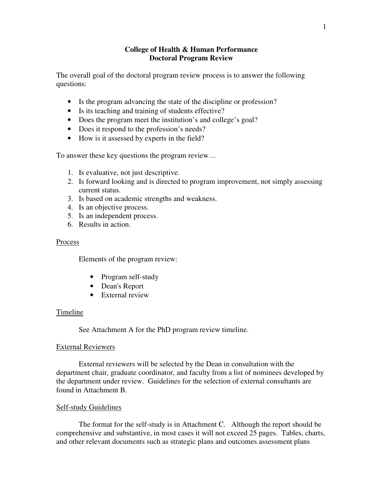## **College of Health & Human Performance Doctoral Program Review**

The overall goal of the doctoral program review process is to answer the following questions:

- Is the program advancing the state of the discipline or profession?
- Is its teaching and training of students effective?
- Does the program meet the institution's and college's goal?
- Does it respond to the profession's needs?
- How is it assessed by experts in the field?

To answer these key questions the program review…

- 1. Is evaluative, not just descriptive.
- 2. Is forward looking and is directed to program improvement, not simply assessing current status.
- 3. Is based on academic strengths and weakness.
- 4. Is an objective process.
- 5. Is an independent process.
- 6. Results in action.

#### Process

Elements of the program review:

- Program self-study
- Dean's Report
- External review

#### Timeline

See Attachment A for the PhD program review timeline.

#### External Reviewers

External reviewers will be selected by the Dean in consultation with the department chair, graduate coordinator, and faculty from a list of nominees developed by the department under review. Guidelines for the selection of external consultants are found in Attachment B.

## Self-study Guidelines

The format for the self-study is in Attachment C. Although the report should be comprehensive and substantive, in most cases it will not exceed 25 pages. Tables, charts, and other relevant documents such as strategic plans and outcomes assessment plans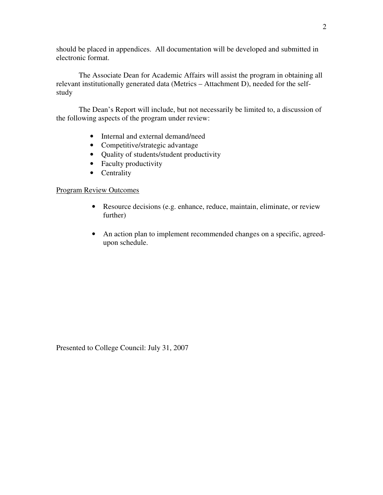should be placed in appendices. All documentation will be developed and submitted in electronic format.

The Associate Dean for Academic Affairs will assist the program in obtaining all relevant institutionally generated data (Metrics – Attachment D), needed for the selfstudy

The Dean's Report will include, but not necessarily be limited to, a discussion of the following aspects of the program under review:

- Internal and external demand/need
- Competitive/strategic advantage
- Quality of students/student productivity
- Faculty productivity
- Centrality

## Program Review Outcomes

- Resource decisions (e.g. enhance, reduce, maintain, eliminate, or review further)
- An action plan to implement recommended changes on a specific, agreedupon schedule.

Presented to College Council: July 31, 2007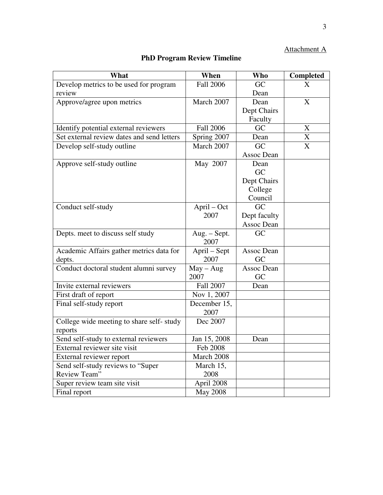# Attachment A

# **PhD Program Review Timeline**

| What                                       | When                 | <b>Who</b>        | Completed      |
|--------------------------------------------|----------------------|-------------------|----------------|
| Develop metrics to be used for program     | <b>Fall 2006</b>     | GC                | X              |
| review                                     |                      | Dean              |                |
| Approve/agree upon metrics                 | March 2007           | Dean              | X              |
|                                            |                      | Dept Chairs       |                |
|                                            |                      | Faculty           |                |
| Identify potential external reviewers      | <b>Fall 2006</b>     | GC                | X              |
| Set external review dates and send letters | Spring 2007          | Dean              | X              |
| Develop self-study outline                 | March 2007           | GC                | $\overline{X}$ |
|                                            |                      | Assoc Dean        |                |
| Approve self-study outline                 | May 2007             | Dean              |                |
|                                            |                      | GC                |                |
|                                            |                      | Dept Chairs       |                |
|                                            |                      | College           |                |
|                                            |                      | Council           |                |
| Conduct self-study                         | April – Oct          | GC                |                |
|                                            | 2007                 | Dept faculty      |                |
|                                            |                      | Assoc Dean        |                |
| Depts. meet to discuss self study          | Aug. - Sept.         | GC                |                |
|                                            | 2007                 |                   |                |
| Academic Affairs gather metrics data for   | April - Sept         | <b>Assoc Dean</b> |                |
| depts.                                     | 2007                 | GC                |                |
| Conduct doctoral student alumni survey     | $May - Aug$          | <b>Assoc Dean</b> |                |
|                                            | 2007                 | GC                |                |
| Invite external reviewers                  | <b>Fall 2007</b>     | Dean              |                |
| First draft of report                      | Nov 1, 2007          |                   |                |
| Final self-study report                    | December 15,<br>2007 |                   |                |
| College wide meeting to share self-study   | Dec 2007             |                   |                |
| reports                                    |                      |                   |                |
| Send self-study to external reviewers      | Jan 15, 2008         | Dean              |                |
| External reviewer site visit               | Feb 2008             |                   |                |
| External reviewer report                   | March 2008           |                   |                |
| Send self-study reviews to "Super          | March 15,            |                   |                |
| Review Team"                               | 2008                 |                   |                |
| Super review team site visit               | April 2008           |                   |                |
| Final report                               | <b>May 2008</b>      |                   |                |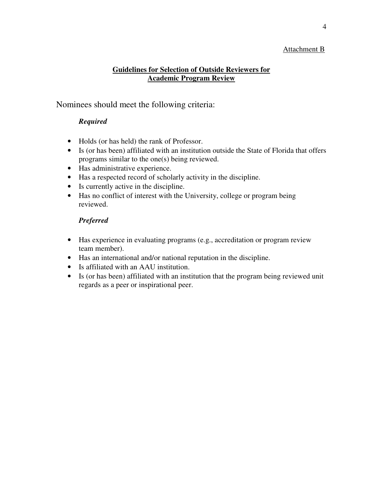# Attachment B

# **Guidelines for Selection of Outside Reviewers for Academic Program Review**

Nominees should meet the following criteria:

# *Required*

- Holds (or has held) the rank of Professor.
- Is (or has been) affiliated with an institution outside the State of Florida that offers programs similar to the one(s) being reviewed.
- Has administrative experience.
- Has a respected record of scholarly activity in the discipline.
- Is currently active in the discipline.
- Has no conflict of interest with the University, college or program being reviewed.

# *Preferred*

- Has experience in evaluating programs (e.g., accreditation or program review team member).
- Has an international and/or national reputation in the discipline.
- Is affiliated with an AAU institution.
- Is (or has been) affiliated with an institution that the program being reviewed unit regards as a peer or inspirational peer.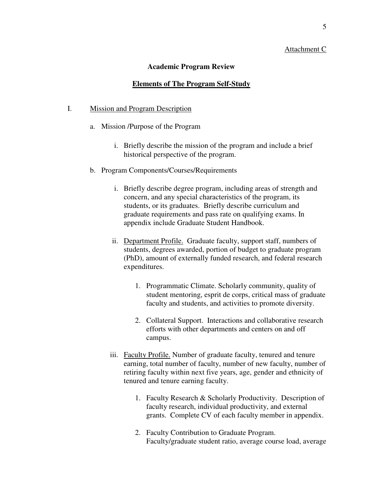#### Attachment C

#### **Academic Program Review**

#### **Elements of The Program Self-Study**

#### I. Mission and Program Description

- a. Mission /Purpose of the Program
	- i. Briefly describe the mission of the program and include a brief historical perspective of the program.
- b. Program Components/Courses/Requirements
	- i. Briefly describe degree program, including areas of strength and concern, and any special characteristics of the program, its students, or its graduates. Briefly describe curriculum and graduate requirements and pass rate on qualifying exams. In appendix include Graduate Student Handbook.
	- ii. Department Profile. Graduate faculty, support staff, numbers of students, degrees awarded, portion of budget to graduate program (PhD), amount of externally funded research, and federal research expenditures.
		- 1. Programmatic Climate. Scholarly community, quality of student mentoring, esprit de corps, critical mass of graduate faculty and students, and activities to promote diversity.
		- 2. Collateral Support. Interactions and collaborative research efforts with other departments and centers on and off campus.
	- iii. Faculty Profile. Number of graduate faculty, tenured and tenure earning, total number of faculty, number of new faculty, number of retiring faculty within next five years, age, gender and ethnicity of tenured and tenure earning faculty.
		- 1. Faculty Research & Scholarly Productivity. Description of faculty research, individual productivity, and external grants. Complete CV of each faculty member in appendix.
		- 2. Faculty Contribution to Graduate Program. Faculty/graduate student ratio, average course load, average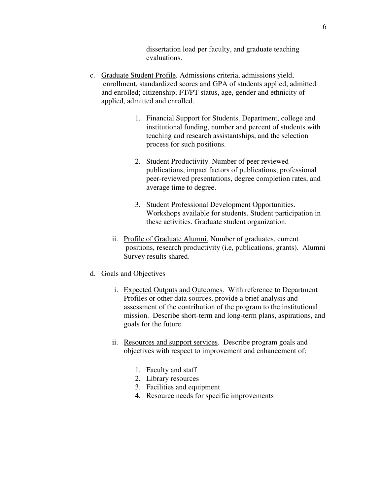dissertation load per faculty, and graduate teaching evaluations.

- c. Graduate Student Profile. Admissions criteria, admissions yield, enrollment, standardized scores and GPA of students applied, admitted and enrolled; citizenship; FT/PT status, age, gender and ethnicity of applied, admitted and enrolled.
	- 1. Financial Support for Students. Department, college and institutional funding, number and percent of students with teaching and research assistantships, and the selection process for such positions.
	- 2. Student Productivity. Number of peer reviewed publications, impact factors of publications, professional peer-reviewed presentations, degree completion rates, and average time to degree.
	- 3. Student Professional Development Opportunities. Workshops available for students. Student participation in these activities. Graduate student organization.
	- ii. Profile of Graduate Alumni. Number of graduates, current positions, research productivity (i.e, publications, grants). Alumni Survey results shared.
- d. Goals and Objectives
	- i. Expected Outputs and Outcomes. With reference to Department Profiles or other data sources, provide a brief analysis and assessment of the contribution of the program to the institutional mission. Describe short-term and long-term plans, aspirations, and goals for the future.
	- ii. Resources and support services. Describe program goals and objectives with respect to improvement and enhancement of:
		- 1. Faculty and staff
		- 2. Library resources
		- 3. Facilities and equipment
		- 4. Resource needs for specific improvements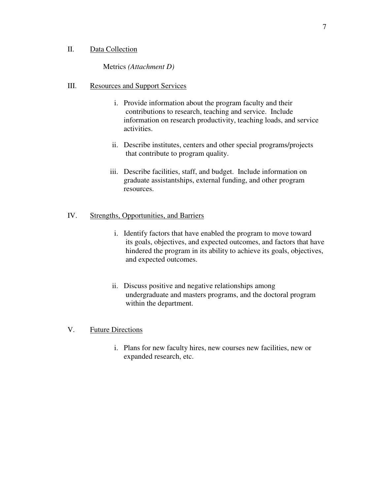## II. Data Collection

## Metrics *(Attachment D)*

## III. Resources and Support Services

- i. Provide information about the program faculty and their contributions to research, teaching and service. Include information on research productivity, teaching loads, and service activities.
- ii. Describe institutes, centers and other special programs/projects that contribute to program quality.
- iii. Describe facilities, staff, and budget. Include information on graduate assistantships, external funding, and other program resources.

## IV. Strengths, Opportunities, and Barriers

- i. Identify factors that have enabled the program to move toward its goals, objectives, and expected outcomes, and factors that have hindered the program in its ability to achieve its goals, objectives, and expected outcomes.
- ii. Discuss positive and negative relationships among undergraduate and masters programs, and the doctoral program within the department.

## V. Future Directions

i. Plans for new faculty hires, new courses new facilities, new or expanded research, etc.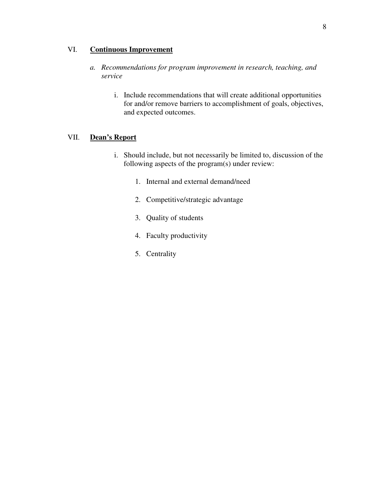# VI. **Continuous Improvement**

- *a. Recommendations for program improvement in research, teaching, and service* 
	- i. Include recommendations that will create additional opportunities for and/or remove barriers to accomplishment of goals, objectives, and expected outcomes.

## VII. **Dean's Report**

- i. Should include, but not necessarily be limited to, discussion of the following aspects of the program(s) under review:
	- 1. Internal and external demand/need
	- 2. Competitive/strategic advantage
	- 3. Quality of students
	- 4. Faculty productivity
	- 5. Centrality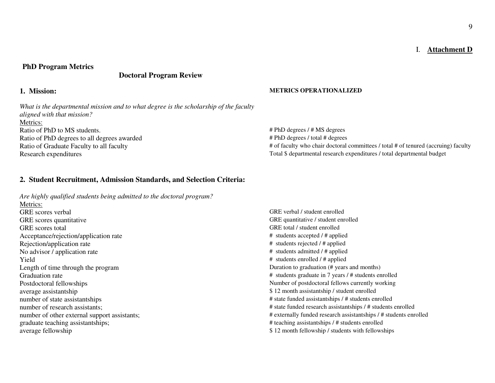## I. **Attachment D**

#### **PhD Program Metrics**

# **Doctoral Program Review**

*What is the departmental mission and to what degree is the scholarship of the faculty aligned with that mission?* Metrics:Ratio of PhD to MS students.  $\ddot{P}$  + PhD degrees / # MS degrees / # MS degrees / # MS degrees / # MS degrees Ratio of PhD degrees to all degrees awarded Ratio of Graduate Faculty to all faculty whose all faculty who chair doctoral committees / total # of tenured (accruing) faculty Research expenditures Total \$ departmental research expenditures / total departmental budget

#### **1. Mission: METRICS OPERATIONALIZED**

# PhD degrees / total # degrees

#### **2. Student Recruitment, Admission Standards, and Selection Criteria:**

*Are highly qualified students being admitted to the doctoral program?* Metrics:**GRE** scores verbal GRE scores quantitative GRE quantitative / student enrolled GRE scores total GRE total / student enrolled Acceptance/rejection/application rate # students accepted / # applied Rejection/application rate  $\qquad$  # students rejected / # applied No advisor / application rate  $\#$  students admitted /  $\#$  applied Yield # students enrolled / # applied Length of time through the program Duration to graduation (# years and months) Graduation rate **A** students graduate in 7 years / # students graduate in 7 years / # students enrolled Postdoctoral fellowships Number of postdoctoral fellows currently working average assistantship  $$ 12$  month assistantship / student enrolled number of state assistantships  $\frac{4}{3}$  state funded assistantships / # students enrolled number of research assistants;  $\frac{4}{3}$  state funded research assistantships / # students enrolled number of other external support assistants;  $\ddot{a}$  # externally funded research assistantships / # students enrolled graduate teaching assistantships;  $\frac{4}{3}$  teaching assistantships / # students enrolled average fellowship  $$ 12$  month fellowship / students with fellowship  $$ 12$  month fellowship / students with fellowships

GRE verbal / student enrolled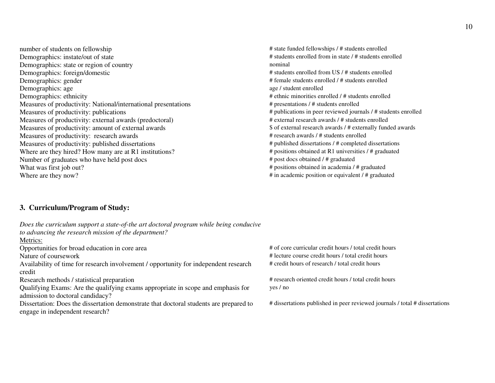number of students on fellowship  $\frac{4}{3}$  and  $\frac{4}{3}$  state funded fellowships / # students enrolled Demographics: instate/out of state  $\#$  students enrolled from in state /  $\#$  students enrolled Demographics: state or region of country nominal property nominal Demographics: foreign/domestic # students enrolled from US / # students enrolled from US / # students enrolled <br>
A female students enrolled / # students enrolled / # students enrolled / # students enrolled <br>
A female stude Demographics: age age / student enrolled age / student enrolled # ethnic minorities en Measures of productivity: National/international presentations # # presentations / # students enrolled Measures of productivity: publications <br>
# publications in peer reviewed journ Measures of productivity: external awards (predoctoral) # external research awards / # students enrolled Measures of productivity: amount of external awardsMeasures of productivity: research awards Measures of productivity: published dissertations  $*$  published dissertations  $*$  completed dissertations Where are they hired? How many are at R1 institutions?  $*$  positions obtained at R1 universities / # graduated Where are they hired? How many are at R1 institutions? # positions obtained at R1 universities  $\frac{4}{1}$  positions obtained at R1 university of graduates who have held post does  $\frac{4}{1}$  post does obtained / # graduated Number of graduates who have held post docs What was first job out?<br>
Where are they now?<br>
Where are they now?<br>  $\#$  in academic position or equivalent /  $\#$  graduated<br>  $\#$  in academic position or equivalent /  $\#$  graduated

# female students enrolled / # students enrolled  $#$  ethnic minorities enrolled /  $#$  students enrolled # publications in peer reviewed journals / # students enrolled \$ of external research awards / # externally funded awards # in academic position or equivalent / # graduated

# **3. Curriculum/Program of Study:**

| Does the curriculum support a state-of-the art doctoral program while being conducive  |                                                                             |
|----------------------------------------------------------------------------------------|-----------------------------------------------------------------------------|
| to advancing the research mission of the department?                                   |                                                                             |
| Metrics:                                                                               |                                                                             |
| Opportunities for broad education in core area                                         | # of core curricular credit hours / total credit hours                      |
| Nature of coursework                                                                   | # lecture course credit hours / total credit hours                          |
| Availability of time for research involvement / opportunity for independent research   | # credit hours of research / total credit hours                             |
| credit                                                                                 |                                                                             |
| Research methods / statistical preparation                                             | # research oriented credit hours / total credit hours                       |
| Qualifying Exams: Are the qualifying exams appropriate in scope and emphasis for       | yes / no                                                                    |
| admission to doctoral candidacy?                                                       |                                                                             |
| Dissertation: Does the dissertation demonstrate that doctoral students are prepared to | # dissertations published in peer reviewed journals / total # dissertations |
| engage in independent research?                                                        |                                                                             |
|                                                                                        |                                                                             |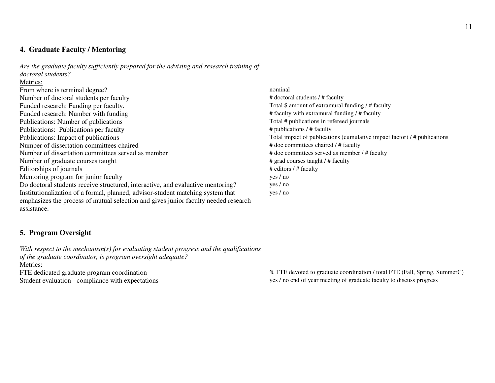# **4. Graduate Faculty / Mentoring**

*Are the graduate faculty sufficiently prepared for the advising and research training of doctoral students?* 

#### Metrics:

| From where is terminal degree?                                                      | nominal                                                                  |
|-------------------------------------------------------------------------------------|--------------------------------------------------------------------------|
| Number of doctoral students per faculty                                             | # doctoral students / # faculty                                          |
| Funded research: Funding per faculty.                                               | Total \$ amount of extramural funding / # faculty                        |
| Funded research: Number with funding                                                | # faculty with extramural funding / # faculty                            |
| Publications: Number of publications                                                | Total # publications in refereed journals                                |
| Publications: Publications per faculty                                              | # publications / # faculty                                               |
| Publications: Impact of publications                                                | Total impact of publications (cumulative impact factor) / # publications |
| Number of dissertation committees chaired                                           | # doc committees chaired / # faculty                                     |
| Number of dissertation committees served as member                                  | # doc committees served as member / # faculty                            |
| Number of graduate courses taught                                                   | # grad courses taught / # faculty                                        |
| Editorships of journals                                                             | # editors / # faculty                                                    |
| Mentoring program for junior faculty                                                | yes / no                                                                 |
| Do doctoral students receive structured, interactive, and evaluative mentoring?     | yes / no                                                                 |
| Institutionalization of a formal, planned, advisor-student matching system that     | yes / no                                                                 |
| emphasizes the process of mutual selection and gives junior faculty needed research |                                                                          |
| assistance.                                                                         |                                                                          |

# **5. Program Oversight**

*With respect to the mechanism(s) for evaluating student progress and the qualifications of the graduate coordinator, is program oversight adequate?* Metrics:

FTE dedicated graduate program coordination

FTE dedicated graduate program coordination  $\%$  FTE devoted to graduate coordination / total FTE (Fall, Spring, SummerC)<br>Student evaluation - compliance with expectations yes / no end of year meeting of graduate faculty t yes / no end of year meeting of graduate faculty to discuss progress